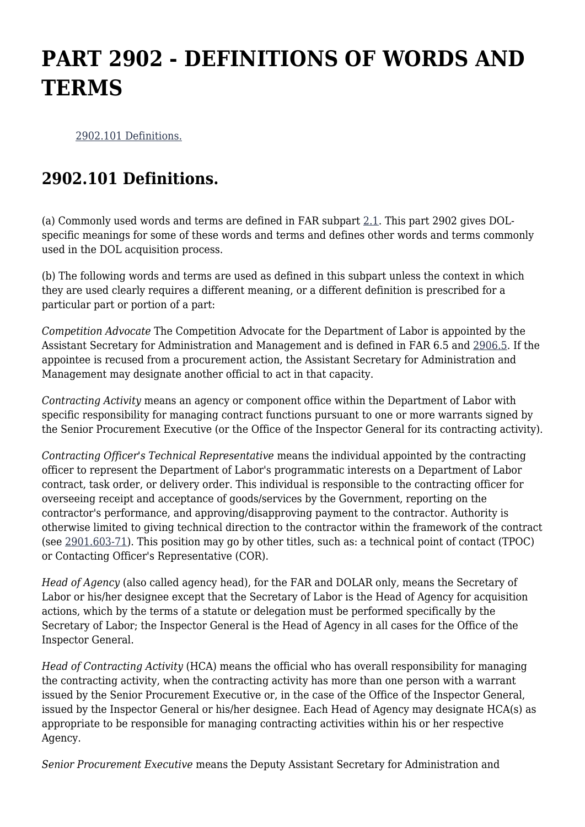## **PART 2902 - DEFINITIONS OF WORDS AND TERMS**

[2902.101 Definitions.](https://www.acquisition.gov/%5Brp:link:dolar-part-2902%5D#Section_2902_101_T48_70113111)

## **2902.101 Definitions.**

(a) Commonly used words and terms are defined in FAR subpart [2.1](https://www.acquisition.gov/%5Brp:link:dolar-subpart-7011%5D#Subpart_2_1_T48_701131). This part 2902 gives DOLspecific meanings for some of these words and terms and defines other words and terms commonly used in the DOL acquisition process.

(b) The following words and terms are used as defined in this subpart unless the context in which they are used clearly requires a different meaning, or a different definition is prescribed for a particular part or portion of a part:

*Competition Advocate* The Competition Advocate for the Department of Labor is appointed by the Assistant Secretary for Administration and Management and is defined in FAR 6.5 and [2906.5](https://www.acquisition.gov/%5Brp:link:dolar-part-2906%5D#Subpart_2906_5_T48_701272). If the appointee is recused from a procurement action, the Assistant Secretary for Administration and Management may designate another official to act in that capacity.

*Contracting Activity* means an agency or component office within the Department of Labor with specific responsibility for managing contract functions pursuant to one or more warrants signed by the Senior Procurement Executive (or the Office of the Inspector General for its contracting activity).

*Contracting Officer's Technical Representative* means the individual appointed by the contracting officer to represent the Department of Labor's programmatic interests on a Department of Labor contract, task order, or delivery order. This individual is responsible to the contracting officer for overseeing receipt and acceptance of goods/services by the Government, reporting on the contractor's performance, and approving/disapproving payment to the contractor. Authority is otherwise limited to giving technical direction to the contractor within the framework of the contract (see [2901.603-71](https://www.acquisition.gov/%5Brp:link:dolar-part-2901%5D#Section_2901_603_71_T48_701126110)). This position may go by other titles, such as: a technical point of contact (TPOC) or Contacting Officer's Representative (COR).

*Head of Agency* (also called agency head), for the FAR and DOLAR only, means the Secretary of Labor or his/her designee except that the Secretary of Labor is the Head of Agency for acquisition actions, which by the terms of a statute or delegation must be performed specifically by the Secretary of Labor; the Inspector General is the Head of Agency in all cases for the Office of the Inspector General.

*Head of Contracting Activity* (HCA) means the official who has overall responsibility for managing the contracting activity, when the contracting activity has more than one person with a warrant issued by the Senior Procurement Executive or, in the case of the Office of the Inspector General, issued by the Inspector General or his/her designee. Each Head of Agency may designate HCA(s) as appropriate to be responsible for managing contracting activities within his or her respective Agency.

*Senior Procurement Executive* means the Deputy Assistant Secretary for Administration and